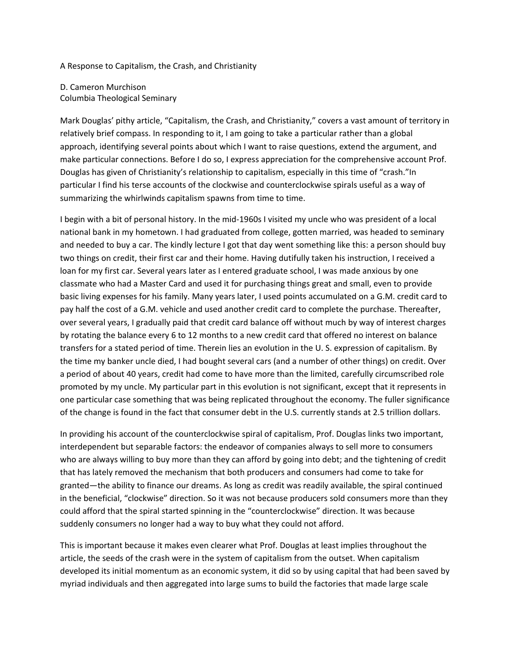## A Response to Capitalism, the Crash, and Christianity

D. Cameron Murchison Columbia Theological Seminary

Mark Douglas' pithy article, "Capitalism, the Crash, and Christianity," covers a vast amount of territory in relatively brief compass. In responding to it, I am going to take a particular rather than a global approach, identifying several points about which I want to raise questions, extend the argument, and make particular connections. Before I do so, I express appreciation for the comprehensive account Prof. Douglas has given of Christianity's relationship to capitalism, especially in this time of "crash."In particular I find his terse accounts of the clockwise and counterclockwise spirals useful as a way of summarizing the whirlwinds capitalism spawns from time to time.

I begin with a bit of personal history. In the mid-1960s I visited my uncle who was president of a local national bank in my hometown. I had graduated from college, gotten married, was headed to seminary and needed to buy a car. The kindly lecture I got that day went something like this: a person should buy two things on credit, their first car and their home. Having dutifully taken his instruction, I received a loan for my first car. Several years later as I entered graduate school, I was made anxious by one classmate who had a Master Card and used it for purchasing things great and small, even to provide basic living expenses for his family. Many years later, I used points accumulated on a G.M. credit card to pay half the cost of a G.M. vehicle and used another credit card to complete the purchase. Thereafter, over several years, I gradually paid that credit card balance off without much by way of interest charges by rotating the balance every 6 to 12 months to a new credit card that offered no interest on balance transfers for a stated period of time. Therein lies an evolution in the U. S. expression of capitalism. By the time my banker uncle died, I had bought several cars (and a number of other things) on credit. Over a period of about 40 years, credit had come to have more than the limited, carefully circumscribed role promoted by my uncle. My particular part in this evolution is not significant, except that it represents in one particular case something that was being replicated throughout the economy. The fuller significance of the change is found in the fact that consumer debt in the U.S. currently stands at 2.5 trillion dollars.

In providing his account of the counterclockwise spiral of capitalism, Prof. Douglas links two important, interdependent but separable factors: the endeavor of companies always to sell more to consumers who are always willing to buy more than they can afford by going into debt; and the tightening of credit that has lately removed the mechanism that both producers and consumers had come to take for granted—the ability to finance our dreams. As long as credit was readily available, the spiral continued in the beneficial, "clockwise" direction. So it was not because producers sold consumers more than they could afford that the spiral started spinning in the "counterclockwise" direction. It was because suddenly consumers no longer had a way to buy what they could not afford.

This is important because it makes even clearer what Prof. Douglas at least implies throughout the article, the seeds of the crash were in the system of capitalism from the outset. When capitalism developed its initial momentum as an economic system, it did so by using capital that had been saved by myriad individuals and then aggregated into large sums to build the factories that made large scale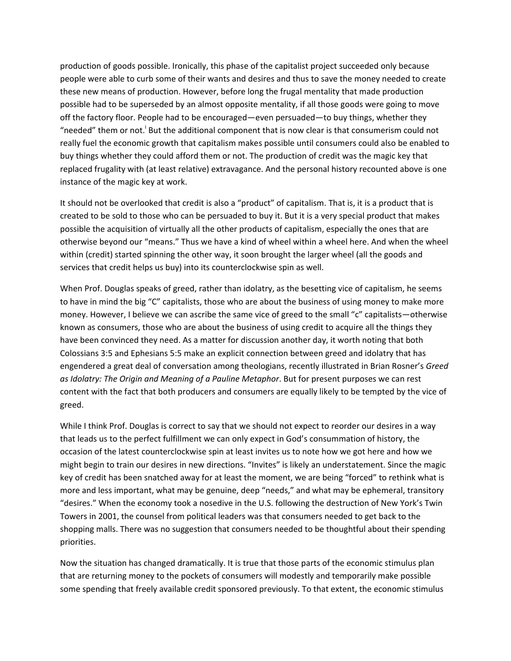production of goods possible. Ironically, this phase of the capitalist project succeeded only because people were able to curb some of their wants and desires and thus to save the money needed to create these new means of production. However, before long the frugal mentality that made production possible had to be superseded by an almost opposite mentality, if all those goods were going to move off the factory floor. People had to be encouraged—even persuaded—to buy things, whether they "needed" them or not.<sup>i</sup> But the additional component that is now clear is that consumerism could not really fuel the economic growth that capitalism makes possible until consumers could also be enabled to buy things whether they could afford them or not. The production of credit was the magic key that replaced frugality with (at least relative) extravagance. And the personal history recounted above is one instance of the magic key at work.

It should not be overlooked that credit is also a "product" of capitalism. That is, it is a product that is created to be sold to those who can be persuaded to buy it. But it is a very special product that makes possible the acquisition of virtually all the other products of capitalism, especially the ones that are otherwise beyond our "means." Thus we have a kind of wheel within a wheel here. And when the wheel within (credit) started spinning the other way, it soon brought the larger wheel (all the goods and services that credit helps us buy) into its counterclockwise spin as well.

When Prof. Douglas speaks of greed, rather than idolatry, as the besetting vice of capitalism, he seems to have in mind the big "C" capitalists, those who are about the business of using money to make more money. However, I believe we can ascribe the same vice of greed to the small "c" capitalists—otherwise known as consumers, those who are about the business of using credit to acquire all the things they have been convinced they need. As a matter for discussion another day, it worth noting that both Colossians 3:5 and Ephesians 5:5 make an explicit connection between greed and idolatry that has engendered a great deal of conversation among theologians, recently illustrated in Brian Rosner's *Greed as Idolatry: The Origin and Meaning of a Pauline Metaphor*. But for present purposes we can rest content with the fact that both producers and consumers are equally likely to be tempted by the vice of greed.

While I think Prof. Douglas is correct to say that we should not expect to reorder our desires in a way that leads us to the perfect fulfillment we can only expect in God's consummation of history, the occasion of the latest counterclockwise spin at least invites us to note how we got here and how we might begin to train our desires in new directions. "Invites" is likely an understatement. Since the magic key of credit has been snatched away for at least the moment, we are being "forced" to rethink what is more and less important, what may be genuine, deep "needs," and what may be ephemeral, transitory "desires." When the economy took a nosedive in the U.S. following the destruction of New York's Twin Towers in 2001, the counsel from political leaders was that consumers needed to get back to the shopping malls. There was no suggestion that consumers needed to be thoughtful about their spending priorities.

Now the situation has changed dramatically. It is true that those parts of the economic stimulus plan that are returning money to the pockets of consumers will modestly and temporarily make possible some spending that freely available credit sponsored previously. To that extent, the economic stimulus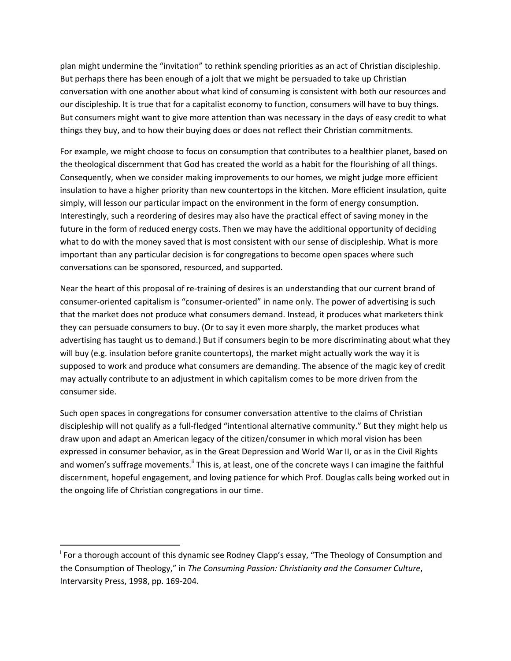plan might undermine the "invitation" to rethink spending priorities as an act of Christian discipleship. But perhaps there has been enough of a jolt that we might be persuaded to take up Christian conversation with one another about what kind of consuming is consistent with both our resources and our discipleship. It is true that for a capitalist economy to function, consumers will have to buy things. But consumers might want to give more attention than was necessary in the days of easy credit to what things they buy, and to how their buying does or does not reflect their Christian commitments.

For example, we might choose to focus on consumption that contributes to a healthier planet, based on the theological discernment that God has created the world as a habit for the flourishing of all things. Consequently, when we consider making improvements to our homes, we might judge more efficient insulation to have a higher priority than new countertops in the kitchen. More efficient insulation, quite simply, will lesson our particular impact on the environment in the form of energy consumption. Interestingly, such a reordering of desires may also have the practical effect of saving money in the future in the form of reduced energy costs. Then we may have the additional opportunity of deciding what to do with the money saved that is most consistent with our sense of discipleship. What is more important than any particular decision is for congregations to become open spaces where such conversations can be sponsored, resourced, and supported.

Near the heart of this proposal of re-training of desires is an understanding that our current brand of consumer-oriented capitalism is "consumer-oriented" in name only. The power of advertising is such that the market does not produce what consumers demand. Instead, it produces what marketers think they can persuade consumers to buy. (Or to say it even more sharply, the market produces what advertising has taught us to demand.) But if consumers begin to be more discriminating about what they will buy (e.g. insulation before granite countertops), the market might actually work the way it is supposed to work and produce what consumers are demanding. The absence of the magic key of credit may actually contribute to an adjustment in which capitalism comes to be more driven from the consumer side.

Such open spaces in congregations for consumer conversation attentive to the claims of Christian discipleship will not qualify as a full-fledged "intentional alternative community." But they might help us draw upon and adapt an American legacy of the citizen/consumer in which moral vision has been expressed in consumer behavior, as in the Great Depression and World War II, or as in the Civil Rights and women's suffrage movements.<sup>ii</sup> This is, at least, one of the concrete ways I can imagine the faithful discernment, hopeful engagement, and loving patience for which Prof. Douglas calls being worked out in the ongoing life of Christian congregations in our time.

1

<sup>&</sup>lt;sup>i</sup> For a thorough account of this dynamic see Rodney Clapp's essay, "The Theology of Consumption and the Consumption of Theology," in *The Consuming Passion: Christianity and the Consumer Culture*, Intervarsity Press, 1998, pp. 169-204.